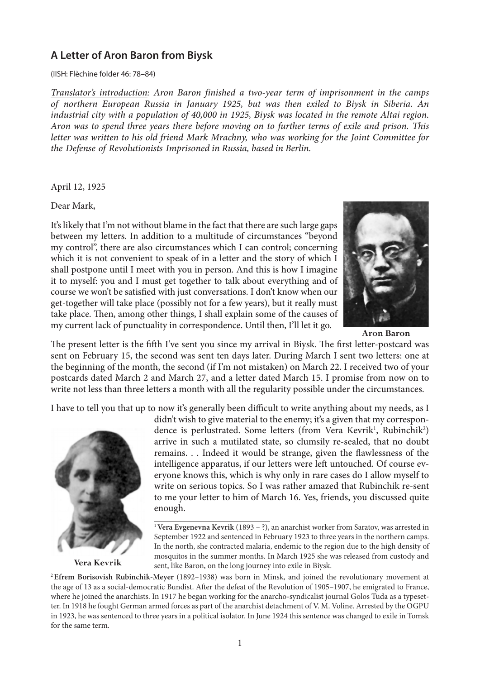## **A Letter of Aron Baron from Biysk**

(IISH: Flèchine folder 46: 78–84)

*Translator's introduction: Aron Baron finished a two-year term of imprisonment in the camps of northern European Russia in January 1925, but was then exiled to Biysk in Siberia. An industrial city with a population of 40,000 in 1925, Biysk was located in the remote Altai region. Aron was to spend three years there before moving on to further terms of exile and prison. This letter was written to his old friend Mark Mrachny, who was working for the Joint Committee for the Defense of Revolutionists Imprisoned in Russia, based in Berlin.*

April 12, 1925

Dear Mark,

It's likely that I'm not without blame in the fact that there are such large gaps between my letters. In addition to a multitude of circumstances "beyond my control", there are also circumstances which I can control; concerning which it is not convenient to speak of in a letter and the story of which I shall postpone until I meet with you in person. And this is how I imagine it to myself: you and I must get together to talk about everything and of course we won't be satisfied with just conversations. I don't know when our get-together will take place (possibly not for a few years), but it really must take place. Then, among other things, I shall explain some of the causes of my current lack of punctuality in correspondence. Until then, I'll let it go.



**Aron Baron**

The present letter is the fifth I've sent you since my arrival in Biysk. The first letter-postcard was sent on February 15, the second was sent ten days later. During March I sent two letters: one at the beginning of the month, the second (if I'm not mistaken) on March 22. I received two of your postcards dated March 2 and March 27, and a letter dated March 15. I promise from now on to write not less than three letters a month with all the regularity possible under the circumstances.

I have to tell you that up to now it's generally been difficult to write anything about my needs, as I



**Vera Kevrik**

didn't wish to give material to the enemy; it's a given that my correspondence is perlustrated. Some letters (from Vera Kevrik<sup>1</sup>, Rubinchik<sup>2</sup>) arrive in such a mutilated state, so clumsily re-sealed, that no doubt remains. . . Indeed it would be strange, given the flawlessness of the intelligence apparatus, if our letters were left untouched. Of course everyone knows this, which is why only in rare cases do I allow myself to write on serious topics. So I was rather amazed that Rubinchik re-sent to me your letter to him of March 16. Yes, friends, you discussed quite enough.

<sup>1</sup>**Vera Evgenevna Kevrik** (1893 – ?), an anarchist worker from Saratov, was arrested in September 1922 and sentenced in February 1923 to three years in the northern camps. In the north, she contracted malaria, endemic to the region due to the high density of mosquitos in the summer months. In March 1925 she was released from custody and sent, like Baron, on the long journey into exile in Biysk.

<sup>2</sup>**Efrem Borisovish Rubinchik-Meyer** (1892–1938) was born in Minsk, and joined the revolutionary movement at the age of 13 as a social-democratic Bundist. After the defeat of the Revolution of 1905–1907, he emigrated to France, where he joined the anarchists. In 1917 he began working for the anarcho-syndicalist journal Golos Tuda as a typesetter. In 1918 he fought German armed forces as part of the anarchist detachment of V. M. Voline. Arrested by the OGPU in 1923, he was sentenced to three years in a political isolator. In June 1924 this sentence was changed to exile in Tomsk for the same term.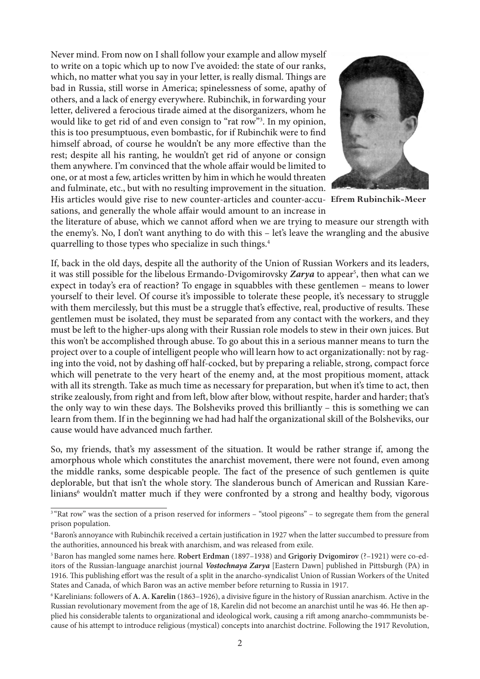Never mind. From now on I shall follow your example and allow myself to write on a topic which up to now I've avoided: the state of our ranks, which, no matter what you say in your letter, is really dismal. Things are bad in Russia, still worse in America; spinelessness of some, apathy of others, and a lack of energy everywhere. Rubinchik, in forwarding your letter, delivered a ferocious tirade aimed at the disorganizers, whom he would like to get rid of and even consign to "rat row"<sup>3</sup>. In my opinion, this is too presumptuous, even bombastic, for if Rubinchik were to find himself abroad, of course he wouldn't be any more effective than the rest; despite all his ranting, he wouldn't get rid of anyone or consign them anywhere. I'm convinced that the whole affair would be limited to one, or at most a few, articles written by him in which he would threaten and fulminate, etc., but with no resulting improvement in the situation. His articles would give rise to new counter-articles and counter-accu-**Efrem Rubinchik-Meer**

quarrelling to those types who specialize in such things.<sup>4</sup>



sations, and generally the whole affair would amount to an increase in the literature of abuse, which we cannot afford when we are trying to measure our strength with the enemy's. No, I don't want anything to do with this – let's leave the wrangling and the abusive

If, back in the old days, despite all the authority of the Union of Russian Workers and its leaders, it was still possible for the libelous Ermando-Dvigomirovsky Zarya to appear<sup>5</sup>, then what can we expect in today's era of reaction? To engage in squabbles with these gentlemen – means to lower yourself to their level. Of course it's impossible to tolerate these people, it's necessary to struggle with them mercilessly, but this must be a struggle that's effective, real, productive of results. These gentlemen must be isolated, they must be separated from any contact with the workers, and they must be left to the higher-ups along with their Russian role models to stew in their own juices. But this won't be accomplished through abuse. To go about this in a serious manner means to turn the project over to a couple of intelligent people who will learn how to act organizationally: not by raging into the void, not by dashing off half-cocked, but by preparing a reliable, strong, compact force which will penetrate to the very heart of the enemy and, at the most propitious moment, attack with all its strength. Take as much time as necessary for preparation, but when it's time to act, then strike zealously, from right and from left, blow after blow, without respite, harder and harder; that's the only way to win these days. The Bolsheviks proved this brilliantly – this is something we can learn from them. If in the beginning we had had half the organizational skill of the Bolsheviks, our cause would have advanced much farther.

So, my friends, that's my assessment of the situation. It would be rather strange if, among the amorphous whole which constitutes the anarchist movement, there were not found, even among the middle ranks, some despicable people. The fact of the presence of such gentlemen is quite deplorable, but that isn't the whole story. The slanderous bunch of American and Russian Karelinians<sup>6</sup> wouldn't matter much if they were confronted by a strong and healthy body, vigorous

<sup>&</sup>lt;sup>3 "</sup>Rat row" was the section of a prison reserved for informers - "stool pigeons" - to segregate them from the general prison population.

<sup>4</sup>Baron's annoyance with Rubinchik received a certain justification in 1927 when the latter succumbed to pressure from the authorities, announced his break with anarchism, and was released from exile.

<sup>5</sup>Baron has mangled some names here. **Robert Erdman** (1897–1938) and **Grigoriy Dvigomirov** (?–1921) were co-editors of the Russian-language anarchist journal *Vostochnaya Zarya* [Eastern Dawn] published in Pittsburgh (PA) in 1916. This publishing effort was the result of a split in the anarcho-syndicalist Union of Russian Workers of the United States and Canada, of which Baron was an active member before returning to Russia in 1917.

<sup>6</sup>Karelinians: followers of **A. A. Karelin** (1863–1926), a divisive figure in the history of Russian anarchism. Active in the Russian revolutionary movement from the age of 18, Karelin did not become an anarchist until he was 46. He then applied his considerable talents to organizational and ideological work, causing a rift among anarcho-commmunists because of his attempt to introduce religious (mystical) concepts into anarchist doctrine. Following the 1917 Revolution,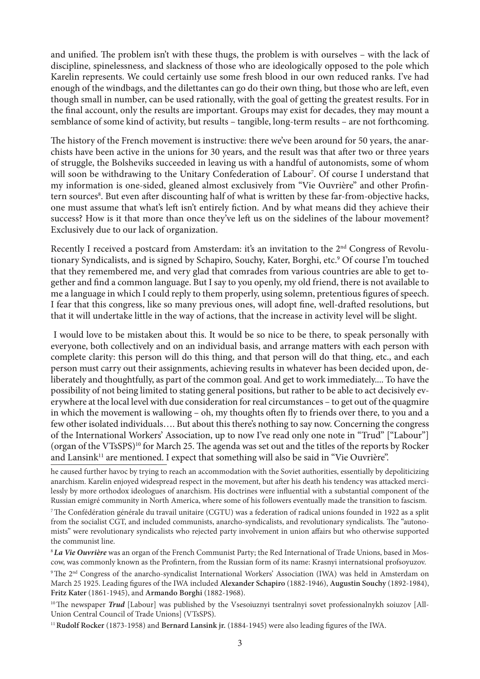and unified. The problem isn't with these thugs, the problem is with ourselves – with the lack of discipline, spinelessness, and slackness of those who are ideologically opposed to the pole which Karelin represents. We could certainly use some fresh blood in our own reduced ranks. I've had enough of the windbags, and the dilettantes can go do their own thing, but those who are left, even though small in number, can be used rationally, with the goal of getting the greatest results. For in the final account, only the results are important. Groups may exist for decades, they may mount a semblance of some kind of activity, but results – tangible, long-term results – are not forthcoming.

The history of the French movement is instructive: there we've been around for 50 years, the anarchists have been active in the unions for 30 years, and the result was that after two or three years of struggle, the Bolsheviks succeeded in leaving us with a handful of autonomists, some of whom will soon be withdrawing to the Unitary Confederation of Labour<sup>7</sup>. Of course I understand that my information is one-sided, gleaned almost exclusively from "Vie Ouvrière" and other Profintern sources<sup>8</sup>. But even after discounting half of what is written by these far-from-objective hacks, one must assume that what's left isn't entirely fiction. And by what means did they achieve their success? How is it that more than once they've left us on the sidelines of the labour movement? Exclusively due to our lack of organization.

Recently I received a postcard from Amsterdam: it's an invitation to the  $2<sup>nd</sup>$  Congress of Revolutionary Syndicalists, and is signed by Schapiro, Souchy, Kater, Borghi, etc.<sup>9</sup> Of course I'm touched that they remembered me, and very glad that comrades from various countries are able to get together and find a common language. But I say to you openly, my old friend, there is not available to me a language in which I could reply to them properly, using solemn, pretentious figures of speech. I fear that this congress, like so many previous ones, will adopt fine, well-drafted resolutions, but that it will undertake little in the way of actions, that the increase in activity level will be slight.

 I would love to be mistaken about this. It would be so nice to be there, to speak personally with everyone, both collectively and on an individual basis, and arrange matters with each person with complete clarity: this person will do this thing, and that person will do that thing, etc., and each person must carry out their assignments, achieving results in whatever has been decided upon, deliberately and thoughtfully, as part of the common goal. And get to work immediately.... To have the possibility of not being limited to stating general positions, but rather to be able to act decisively everywhere at the local level with due consideration for real circumstances – to get out of the quagmire in which the movement is wallowing – oh, my thoughts often fly to friends over there, to you and a few other isolated individuals…. But about this there's nothing to say now. Concerning the congress of the International Workers' Association, up to now I've read only one note in "Trud" ["Labour"] (organ of the VTsSPS)<sup>10</sup> for March 25. The agenda was set out and the titles of the reports by Rocker and Lansink<sup>11</sup> are mentioned. I expect that something will also be said in "Vie Ouvrière".

he caused further havoc by trying to reach an accommodation with the Soviet authorities, essentially by depoliticizing anarchism. Karelin enjoyed widespread respect in the movement, but after his death his tendency was attacked mercilessly by more orthodox ideologues of anarchism. His doctrines were influential with a substantial component of the Russian emigré community in North America, where some of his followers eventually made the transition to fascism.

7The Confédération générale du travail unitaire (CGTU) was a federation of radical unions founded in 1922 as a split from the socialist CGT, and included communists, anarcho-syndicalists, and revolutionary syndicalists. The "autonomists" were revolutionary syndicalists who rejected party involvement in union affairs but who otherwise supported the communist line.

8*La Vie Ouvrière* was an organ of the French Communist Party; the Red International of Trade Unions, based in Moscow, was commonly known as the Profintern, from the Russian form of its name: Krasnyi internatsional profsoyuzov.

9The 2nd Congress of the anarcho-syndicalist International Workers' Association (IWA) was held in Amsterdam on March 25 1925. Leading figures of the IWA included **Alexander Schapiro** (1882-1946), **Augustin Souchy** (1892-1984), **Fritz Kater** (1861-1945), and **Armando Borghi** (1882-1968).

<sup>10</sup>The newspaper *Trud* [Labour] was published by the Vsesoiuznyi tsentralnyi sovet professionalnykh soiuzov [All-Union Central Council of Trade Unions] (VTsSPS).

11**Rudolf Rocker** (1873-1958) and **Bernard Lansink jr.** (1884-1945) were also leading figures of the IWA.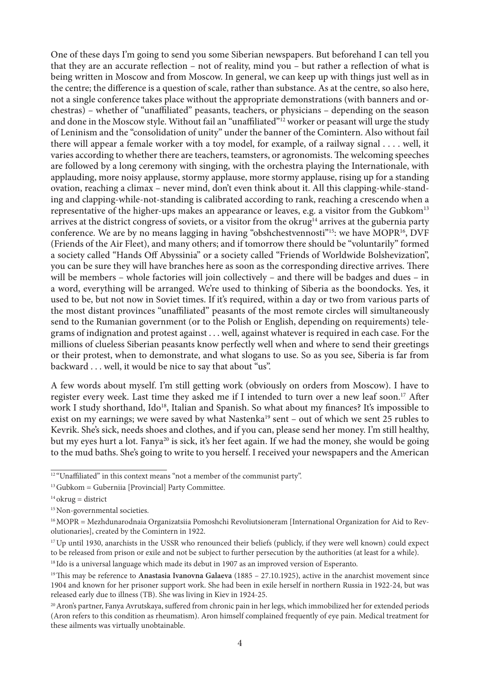One of these days I'm going to send you some Siberian newspapers. But beforehand I can tell you that they are an accurate reflection – not of reality, mind you – but rather a reflection of what is being written in Moscow and from Moscow. In general, we can keep up with things just well as in the centre; the difference is a question of scale, rather than substance. As at the centre, so also here, not a single conference takes place without the appropriate demonstrations (with banners and orchestras) – whether of "unaffiliated" peasants, teachers, or physicians – depending on the season and done in the Moscow style. Without fail an "unaffiliated"<sup>12</sup> worker or peasant will urge the study of Leninism and the "consolidation of unity" under the banner of the Comintern. Also without fail there will appear a female worker with a toy model, for example, of a railway signal . . . . well, it varies according to whether there are teachers, teamsters, or agronomists. The welcoming speeches are followed by a long ceremony with singing, with the orchestra playing the Internationale, with applauding, more noisy applause, stormy applause, more stormy applause, rising up for a standing ovation, reaching a climax – never mind, don't even think about it. All this clapping-while-standing and clapping-while-not-standing is calibrated according to rank, reaching a crescendo when a representative of the higher-ups makes an appearance or leaves, e.g. a visitor from the Gubkom<sup>13</sup> arrives at the district congress of soviets, or a visitor from the okrug<sup>14</sup> arrives at the gubernia party conference. We are by no means lagging in having "obshchestvennosti"<sup>15</sup>: we have MOPR<sup>16</sup>, DVF (Friends of the Air Fleet), and many others; and if tomorrow there should be "voluntarily" formed a society called "Hands Off Abyssinia" or a society called "Friends of Worldwide Bolshevization", you can be sure they will have branches here as soon as the corresponding directive arrives. There will be members – whole factories will join collectively – and there will be badges and dues – in a word, everything will be arranged. We're used to thinking of Siberia as the boondocks. Yes, it used to be, but not now in Soviet times. If it's required, within a day or two from various parts of the most distant provinces "unaffiliated" peasants of the most remote circles will simultaneously send to the Rumanian government (or to the Polish or English, depending on requirements) telegrams of indignation and protest against . . . well, against whatever is required in each case. For the millions of clueless Siberian peasants know perfectly well when and where to send their greetings or their protest, when to demonstrate, and what slogans to use. So as you see, Siberia is far from backward . . . well, it would be nice to say that about "us".

A few words about myself. I'm still getting work (obviously on orders from Moscow). I have to register every week. Last time they asked me if I intended to turn over a new leaf soon.17 After work I study shorthand, Ido<sup>18</sup>, Italian and Spanish. So what about my finances? It's impossible to exist on my earnings; we were saved by what Nastenka<sup>19</sup> sent – out of which we sent 25 rubles to Kevrik. She's sick, needs shoes and clothes, and if you can, please send her money. I'm still healthy, but my eyes hurt a lot. Fanya<sup>20</sup> is sick, it's her feet again. If we had the money, she would be going to the mud baths. She's going to write to you herself. I received your newspapers and the American

<sup>&</sup>lt;sup>12</sup> "Unaffiliated" in this context means "not a member of the communist party".

 $13$  Gubkom = Guberniia [Provincial] Party Committee.

 $14$ okrug = district

<sup>&</sup>lt;sup>15</sup> Non-governmental societies.

<sup>&</sup>lt;sup>16</sup> MOPR = Mezhdunarodnaia Organizatsiia Pomoshchi Revoliutsioneram [International Organization for Aid to Revolutionaries], created by the Comintern in 1922.

 $17$  Up until 1930, anarchists in the USSR who renounced their beliefs (publicly, if they were well known) could expect to be released from prison or exile and not be subject to further persecution by the authorities (at least for a while).

<sup>&</sup>lt;sup>18</sup> Ido is a universal language which made its debut in 1907 as an improved version of Esperanto.

<sup>19</sup>This may be reference to **Anastasia Ivanovna Galaeva** (1885 – 27.10.1925), active in the anarchist movement since 1904 and known for her prisoner support work. She had been in exile herself in northern Russia in 1922-24, but was released early due to illness (TB). She was living in Kiev in 1924-25.

 $^{20}$  Aron's partner, Fanya Avrutskaya, suffered from chronic pain in her legs, which immobilized her for extended periods (Aron refers to this condition as rheumatism). Aron himself complained frequently of eye pain. Medical treatment for these ailments was virtually unobtainable.